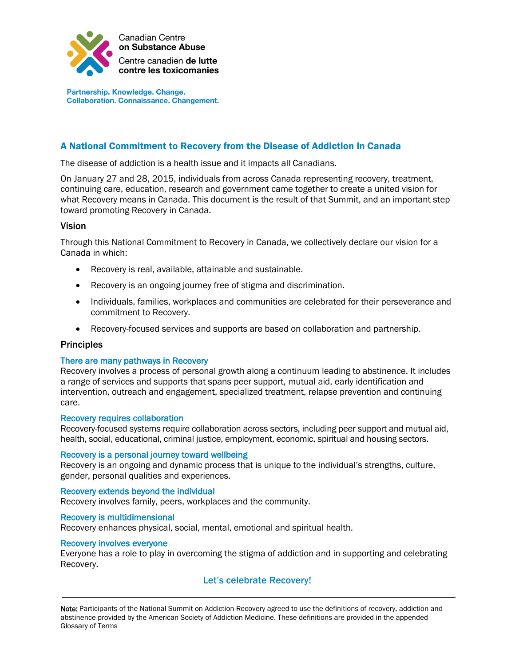

Partnership. Knowledge. Change. **Collaboration. Connaissance. Changement.** 

# A National Commitment to Recovery from the Disease of Addiction in Canada

The disease of addiction is a health issue and it impacts all Canadians.

On January 27 and 28, 2015, individuals from across Canada representing recovery, treatment, continuing care, education, research and government came together to create a united vision for what Recovery means in Canada. This document is the result of that Summit, and an important step toward promoting Recovery in Canada.

## Vision

Through this National Commitment to Recovery in Canada, we collectively declare our vision for a Canada in which:

- Recovery is real, available, attainable and sustainable.
- Recovery is an ongoing journey free of stigma and discrimination.
- Individuals, families, workplaces and communities are celebrated for their perseverance and commitment to Recovery.
- Recovery-focused services and supports are based on collaboration and partnership.

## **Principles**

## There are many pathways in Recovery

Recovery involves a process of personal growth along a continuum leading to abstinence. It includes a range of services and supports that spans peer support, mutual aid, early identification and intervention, outreach and engagement, specialized treatment, relapse prevention and continuing care.

#### Recovery requires collaboration

Recovery-focused systems require collaboration across sectors, including peer support and mutual aid, health, social, educational, criminal justice, employment, economic, spiritual and housing sectors.

#### Recovery is a personal journey toward wellbeing

Recovery is an ongoing and dynamic process that is unique to the individual's strengths, culture, gender, personal qualities and experiences.

#### Recovery extends beyond the individual

Recovery involves family, peers, workplaces and the community.

#### Recovery is multidimensional

Recovery enhances physical, social, mental, emotional and spiritual health.

#### Recovery involves everyone

Everyone has a role to play in overcoming the stigma of addiction and in supporting and celebrating Recovery.

## Let's celebrate Recovery!

[Note:](http://note/) Participants of the National Summit on Addiction Recovery agreed to use the definitions of recovery, addiction and abstinence provided by the American Society of Addiction Medicine. These definitions are provided in the appended Glossary of Terms